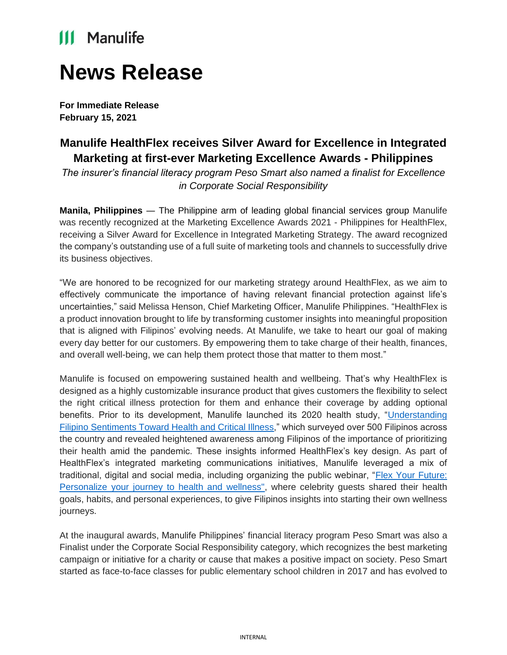## **III** Manulife

# **News Release**

**For Immediate Release February 15, 2021**

### **Manulife HealthFlex receives Silver Award for Excellence in Integrated Marketing at first-ever Marketing Excellence Awards - Philippines**

*The insurer's financial literacy program Peso Smart also named a finalist for Excellence in Corporate Social Responsibility*

**Manila, Philippines** ― The Philippine arm of leading global financial services group Manulife was recently recognized at the Marketing Excellence Awards 2021 - Philippines for HealthFlex, receiving a Silver Award for Excellence in Integrated Marketing Strategy. The award recognized the company's outstanding use of a full suite of marketing tools and channels to successfully drive its business objectives.

"We are honored to be recognized for our marketing strategy around HealthFlex, as we aim to effectively communicate the importance of having relevant financial protection against life's uncertainties," said Melissa Henson, Chief Marketing Officer, Manulife Philippines. "HealthFlex is a product innovation brought to life by transforming customer insights into meaningful proposition that is aligned with Filipinos' evolving needs. At Manulife, we take to heart our goal of making every day better for our customers. By empowering them to take charge of their health, finances, and overall well-being, we can help them protect those that matter to them most."

Manulife is focused on empowering sustained health and wellbeing. That's why HealthFlex is designed as a highly customizable insurance product that gives customers the flexibility to select the right critical illness protection for them and enhance their coverage by adding optional benefits. Prior to its development, Manulife launched its 2020 health study, ["Understanding](http://manulife.pub/2020HealthStudy)  [Filipino Sentiments Toward Health and Critical Illness,](http://manulife.pub/2020HealthStudy)" which surveyed over 500 Filipinos across the country and revealed heightened awareness among Filipinos of the importance of prioritizing their health amid the pandemic. These insights informed HealthFlex's key design. As part of HealthFlex's integrated marketing communications initiatives, Manulife leveraged a mix of traditional, digital and social media, including organizing the public webinar, "Flex Your Future: [Personalize your journey to health and wellness",](https://www.youtube.com/watch?v=ZSVc3-92Xic&t=2s) where celebrity guests shared their health goals, habits, and personal experiences, to give Filipinos insights into starting their own wellness journeys.

At the inaugural awards, Manulife Philippines' financial literacy program Peso Smart was also a Finalist under the Corporate Social Responsibility category, which recognizes the best marketing campaign or initiative for a charity or cause that makes a positive impact on society. Peso Smart started as face-to-face classes for public elementary school children in 2017 and has evolved to